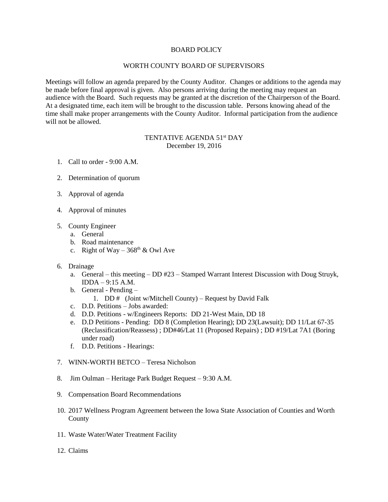## BOARD POLICY

## WORTH COUNTY BOARD OF SUPERVISORS

Meetings will follow an agenda prepared by the County Auditor. Changes or additions to the agenda may be made before final approval is given. Also persons arriving during the meeting may request an audience with the Board. Such requests may be granted at the discretion of the Chairperson of the Board. At a designated time, each item will be brought to the discussion table. Persons knowing ahead of the time shall make proper arrangements with the County Auditor. Informal participation from the audience will not be allowed.

## TENTATIVE AGENDA 51<sup>st</sup> DAY December 19, 2016

- 1. Call to order 9:00 A.M.
- 2. Determination of quorum
- 3. Approval of agenda
- 4. Approval of minutes
- 5. County Engineer
	- a. General
	- b. Road maintenance
	- c. Right of Way  $368^{\text{th}}$  & Owl Ave
- 6. Drainage
	- a. General this meeting DD #23 Stamped Warrant Interest Discussion with Doug Struyk, IDDA – 9:15 A.M.
	- b. General Pending
		- 1. DD  $\#$  (Joint w/Mitchell County) Request by David Falk
	- c. D.D. Petitions Jobs awarded:
	- d. D.D. Petitions w/Engineers Reports: DD 21-West Main, DD 18
	- e. D.D Petitions Pending: DD 8 (Completion Hearing); DD 23(Lawsuit); DD 11/Lat 67-35 (Reclassification/Reassess) ; DD#46/Lat 11 (Proposed Repairs) ; DD #19/Lat 7A1 (Boring under road)
	- f. D.D. Petitions Hearings:
- 7. WINN-WORTH BETCO Teresa Nicholson
- 8. Jim Oulman Heritage Park Budget Request 9:30 A.M.
- 9. Compensation Board Recommendations
- 10. 2017 Wellness Program Agreement between the Iowa State Association of Counties and Worth County
- 11. Waste Water/Water Treatment Facility
- 12. Claims